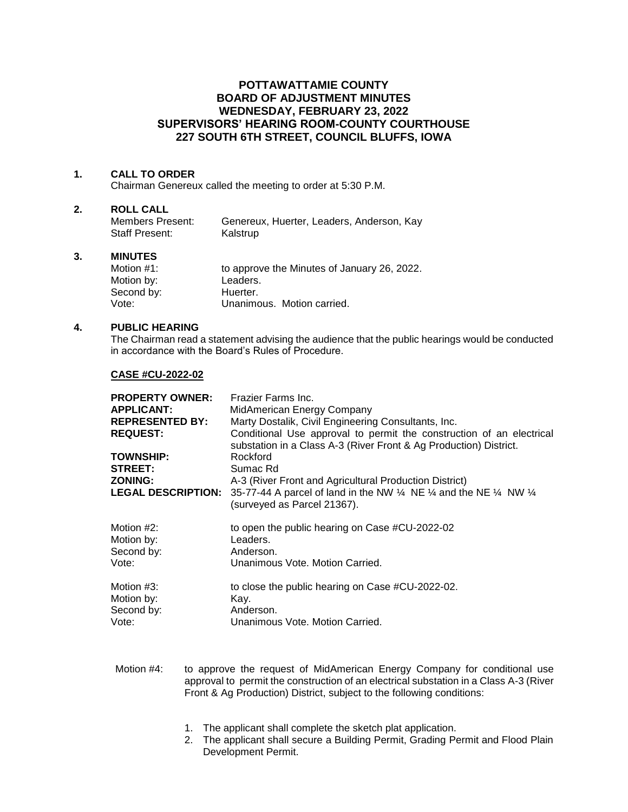# **POTTAWATTAMIE COUNTY BOARD OF ADJUSTMENT MINUTES WEDNESDAY, FEBRUARY 23, 2022 SUPERVISORS' HEARING ROOM-COUNTY COURTHOUSE 227 SOUTH 6TH STREET, COUNCIL BLUFFS, IOWA**

## **1. CALL TO ORDER**

Chairman Genereux called the meeting to order at 5:30 P.M.

#### **2. ROLL CALL**

| Members Present: | Genereux, Huerter, Leaders, Anderson, Kay |
|------------------|-------------------------------------------|
| Staff Present:   | Kalstrup                                  |

## **3. MINUTES**

| Motion #1: | to approve the Minutes of January 26, 2022. |
|------------|---------------------------------------------|
| Motion by: | Leaders.                                    |
| Second by: | Huerter.                                    |
| Vote:      | Unanimous. Motion carried.                  |

## **4. PUBLIC HEARING**

The Chairman read a statement advising the audience that the public hearings would be conducted in accordance with the Board's Rules of Procedure.

#### **CASE #CU-2022-02**

| <b>PROPERTY OWNER:</b><br><b>APPLICANT:</b><br><b>REPRESENTED BY:</b><br><b>REQUEST:</b><br><b>TOWNSHIP:</b><br><b>STREET:</b><br><b>ZONING:</b><br><b>LEGAL DESCRIPTION:</b> | Frazier Farms Inc.<br>MidAmerican Energy Company<br>Marty Dostalik, Civil Engineering Consultants, Inc.<br>Conditional Use approval to permit the construction of an electrical<br>substation in a Class A-3 (River Front & Ag Production) District.<br>Rockford<br>Sumac Rd<br>A-3 (River Front and Agricultural Production District)<br>35-77-44 A parcel of land in the NW 1/4 NE 1/4 and the NE 1/4 NW 1/4<br>(surveyed as Parcel 21367). |
|-------------------------------------------------------------------------------------------------------------------------------------------------------------------------------|-----------------------------------------------------------------------------------------------------------------------------------------------------------------------------------------------------------------------------------------------------------------------------------------------------------------------------------------------------------------------------------------------------------------------------------------------|
| Motion #2:                                                                                                                                                                    | to open the public hearing on Case #CU-2022-02                                                                                                                                                                                                                                                                                                                                                                                                |
| Motion by:                                                                                                                                                                    | Leaders.                                                                                                                                                                                                                                                                                                                                                                                                                                      |
| Second by:                                                                                                                                                                    | Anderson.                                                                                                                                                                                                                                                                                                                                                                                                                                     |
| Vote:                                                                                                                                                                         | Unanimous Vote, Motion Carried.                                                                                                                                                                                                                                                                                                                                                                                                               |
| Motion #3:                                                                                                                                                                    | to close the public hearing on Case #CU-2022-02.                                                                                                                                                                                                                                                                                                                                                                                              |
| Motion by:                                                                                                                                                                    | Kay.                                                                                                                                                                                                                                                                                                                                                                                                                                          |
| Second by:                                                                                                                                                                    | Anderson.                                                                                                                                                                                                                                                                                                                                                                                                                                     |
| Vote:                                                                                                                                                                         | Unanimous Vote, Motion Carried.                                                                                                                                                                                                                                                                                                                                                                                                               |

Motion #4: to approve the request of MidAmerican Energy Company for conditional use approval to permit the construction of an electrical substation in a Class A-3 (River Front & Ag Production) District, subject to the following conditions:

- 1. The applicant shall complete the sketch plat application.
- 2. The applicant shall secure a Building Permit, Grading Permit and Flood Plain Development Permit.